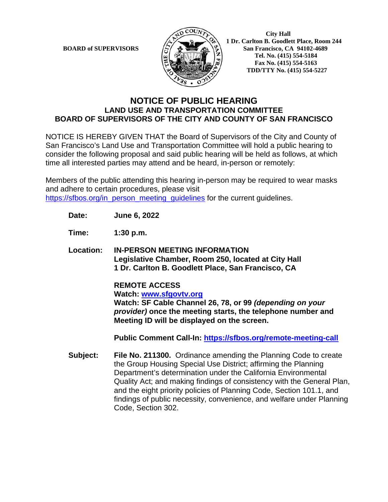

 **1 Dr.** Carlton B. Goodlett Place, Room 244<br>**BOARD of SUPERVISORS**  $\left\{\sum_{n=1}^{\infty}\right\}$  **1 Dr.** Carlton B. Goodlett Place, Room 244 **San Francisco, CA 94102-4689 Tel. No. (415) 554-5184 Fax No. (415) 554-5163 TDD/TTY No. (415) 554-5227**

## **NOTICE OF PUBLIC HEARING LAND USE AND TRANSPORTATION COMMITTEE BOARD OF SUPERVISORS OF THE CITY AND COUNTY OF SAN FRANCISCO**

NOTICE IS HEREBY GIVEN THAT the Board of Supervisors of the City and County of San Francisco's Land Use and Transportation Committee will hold a public hearing to consider the following proposal and said public hearing will be held as follows, at which time all interested parties may attend and be heard, in-person or remotely:

Members of the public attending this hearing in-person may be required to wear masks and adhere to certain procedures, please visit [https://sfbos.org/in\\_person\\_meeting\\_guidelines](https://sfbos.org/in_person_meeting_guidelines) for the current guidelines.

**Date: June 6, 2022**

**Time: 1:30 p.m.**

**Location: IN-PERSON MEETING INFORMATION Legislative Chamber, Room 250, located at City Hall 1 Dr. Carlton B. Goodlett Place, San Francisco, CA**

> **REMOTE ACCESS Watch: [www.sfgovtv.org](http://www.sfgovtv.org/) Watch: SF Cable Channel 26, 78, or 99** *(depending on your provider)* **once the meeting starts, the telephone number and Meeting ID will be displayed on the screen.**

**Public Comment Call-In:<https://sfbos.org/remote-meeting-call>**

**Subject: File No. 211300.** Ordinance amending the Planning Code to create the Group Housing Special Use District; affirming the Planning Department's determination under the California Environmental Quality Act; and making findings of consistency with the General Plan, and the eight priority policies of Planning Code, Section 101.1, and findings of public necessity, convenience, and welfare under Planning Code, Section 302.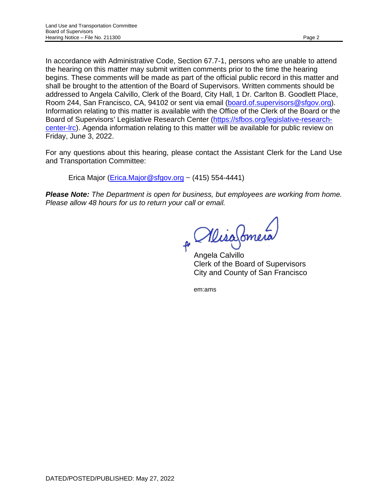In accordance with Administrative Code, Section 67.7-1, persons who are unable to attend the hearing on this matter may submit written comments prior to the time the hearing begins. These comments will be made as part of the official public record in this matter and shall be brought to the attention of the Board of Supervisors. Written comments should be addressed to Angela Calvillo, Clerk of the Board, City Hall, 1 Dr. Carlton B. Goodlett Place, Room 244, San Francisco, CA, 94102 or sent via email [\(board.of.supervisors@sfgov.org\)](mailto:board.of.supervisors@sfgov.org). Information relating to this matter is available with the Office of the Clerk of the Board or the Board of Supervisors' Legislative Research Center [\(https://sfbos.org/legislative-research](https://sfbos.org/legislative-research-center-lrc)[center-lrc\)](https://sfbos.org/legislative-research-center-lrc). Agenda information relating to this matter will be available for public review on Friday, June 3, 2022.

For any questions about this hearing, please contact the Assistant Clerk for the Land Use and Transportation Committee:

Erica Major (*Erica.Major@sfgov.org* ~  $(415)$  554-4441)

*Please Note: The Department is open for business, but employees are working from home. Please allow 48 hours for us to return your call or email.* 

MisaSomera

Angela Calvillo Clerk of the Board of Supervisors City and County of San Francisco

em:ams